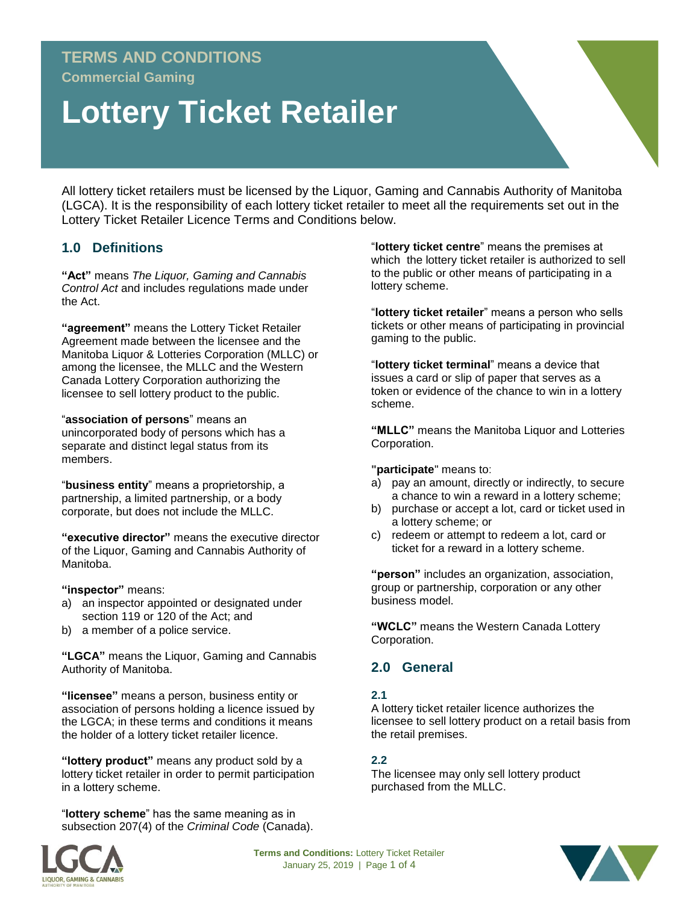# **TERMS AND CONDITIONS**

**Commercial Gaming**

# **Lottery Ticket Retailer**

All lottery ticket retailers must be licensed by the Liquor, Gaming and Cannabis Authority of Manitoba (LGCA). It is the responsibility of each lottery ticket retailer to meet all the requirements set out in the Lottery Ticket Retailer Licence Terms and Conditions below.

# **1.0 Definitions**

**"Act"** means *The Liquor, Gaming and Cannabis Control Act* and includes regulations made under the Act.

**"agreement"** means the Lottery Ticket Retailer Agreement made between the licensee and the Manitoba Liquor & Lotteries Corporation (MLLC) or among the licensee, the MLLC and the Western Canada Lottery Corporation authorizing the licensee to sell lottery product to the public.

"**association of persons**" means an unincorporated body of persons which has a separate and distinct legal status from its members.

"**business entity**" means a proprietorship, a partnership, a limited partnership, or a body corporate, but does not include the MLLC.

**"executive director"** means the executive director of the Liquor, Gaming and Cannabis Authority of Manitoba.

**"inspector"** means:

- a) an inspector appointed or designated under section 119 or 120 of the Act; and
- b) a member of a police service.

**"LGCA"** means the Liquor, Gaming and Cannabis Authority of Manitoba.

**"licensee"** means a person, business entity or association of persons holding a licence issued by the LGCA; in these terms and conditions it means the holder of a lottery ticket retailer licence.

**"lottery product"** means any product sold by a lottery ticket retailer in order to permit participation in a lottery scheme.

"**lottery scheme**" has the same meaning as in subsection 207(4) of the *Criminal Code* (Canada). "**lottery ticket centre**" means the premises at which the lottery ticket retailer is authorized to sell to the public or other means of participating in a lottery scheme.

"**lottery ticket retailer**" means a person who sells tickets or other means of participating in provincial gaming to the public.

"**lottery ticket terminal**" means a device that issues a card or slip of paper that serves as a token or evidence of the chance to win in a lottery scheme.

**"MLLC"** means the Manitoba Liquor and Lotteries Corporation.

**"participate**" means to:

- a) pay an amount, directly or indirectly, to secure a chance to win a reward in a lottery scheme;
- b) purchase or accept a lot, card or ticket used in a lottery scheme; or
- c) redeem or attempt to redeem a lot, card or ticket for a reward in a lottery scheme.

**"person"** includes an organization, association, group or partnership, corporation or any other business model.

**"WCLC"** means the Western Canada Lottery Corporation.

# **2.0 General**

#### **2.1**

A lottery ticket retailer licence authorizes the licensee to sell lottery product on a retail basis from the retail premises.

#### **2.2**

The licensee may only sell lottery product purchased from the MLLC.



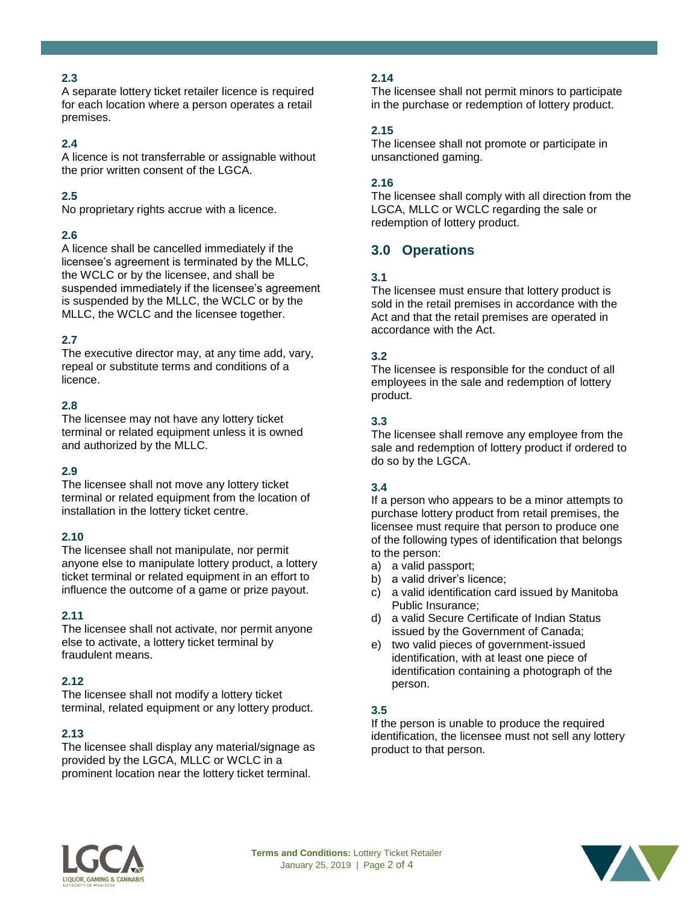# **2.3**

A separate lottery ticket retailer licence is required for each location where a person operates a retail premises.

# **2.4**

A licence is not transferrable or assignable without the prior written consent of the LGCA.

# **2.5**

No proprietary rights accrue with a licence.

#### **2.6**

A licence shall be cancelled immediately if the licensee's agreement is terminated by the MLLC, the WCLC or by the licensee, and shall be suspended immediately if the licensee's agreement is suspended by the MLLC, the WCLC or by the MLLC, the WCLC and the licensee together.

# **2.7**

The executive director may, at any time add, vary, repeal or substitute terms and conditions of a licence.

#### **2.8**

The licensee may not have any lottery ticket terminal or related equipment unless it is owned and authorized by the MLLC.

# **2.9**

The licensee shall not move any lottery ticket terminal or related equipment from the location of installation in the lottery ticket centre.

#### **2.10**

The licensee shall not manipulate, nor permit anyone else to manipulate lottery product, a lottery ticket terminal or related equipment in an effort to influence the outcome of a game or prize payout.

#### **2.11**

The licensee shall not activate, nor permit anyone else to activate, a lottery ticket terminal by fraudulent means.

#### **2.12**

The licensee shall not modify a lottery ticket terminal, related equipment or any lottery product.

# **2.13**

The licensee shall display any material/signage as provided by the LGCA, MLLC or WCLC in a prominent location near the lottery ticket terminal.

# **2.14**

The licensee shall not permit minors to participate in the purchase or redemption of lottery product.

# **2.15**

The licensee shall not promote or participate in unsanctioned gaming.

#### **2.16**

The licensee shall comply with all direction from the LGCA, MLLC or WCLC regarding the sale or redemption of lottery product.

# **3.0 Operations**

#### **3.1**

The licensee must ensure that lottery product is sold in the retail premises in accordance with the Act and that the retail premises are operated in accordance with the Act.

#### **3.2**

The licensee is responsible for the conduct of all employees in the sale and redemption of lottery product.

# **3.3**

The licensee shall remove any employee from the sale and redemption of lottery product if ordered to do so by the LGCA.

# **3.4**

If a person who appears to be a minor attempts to purchase lottery product from retail premises, the licensee must require that person to produce one of the following types of identification that belongs to the person:

- a) a valid passport;
- b) a valid driver's licence;
- c) a valid identification card issued by Manitoba Public Insurance;
- d) a valid Secure Certificate of Indian Status issued by the Government of Canada;
- e) two valid pieces of government-issued identification, with at least one piece of identification containing a photograph of the person.

# **3.5**

If the person is unable to produce the required identification, the licensee must not sell any lottery product to that person.



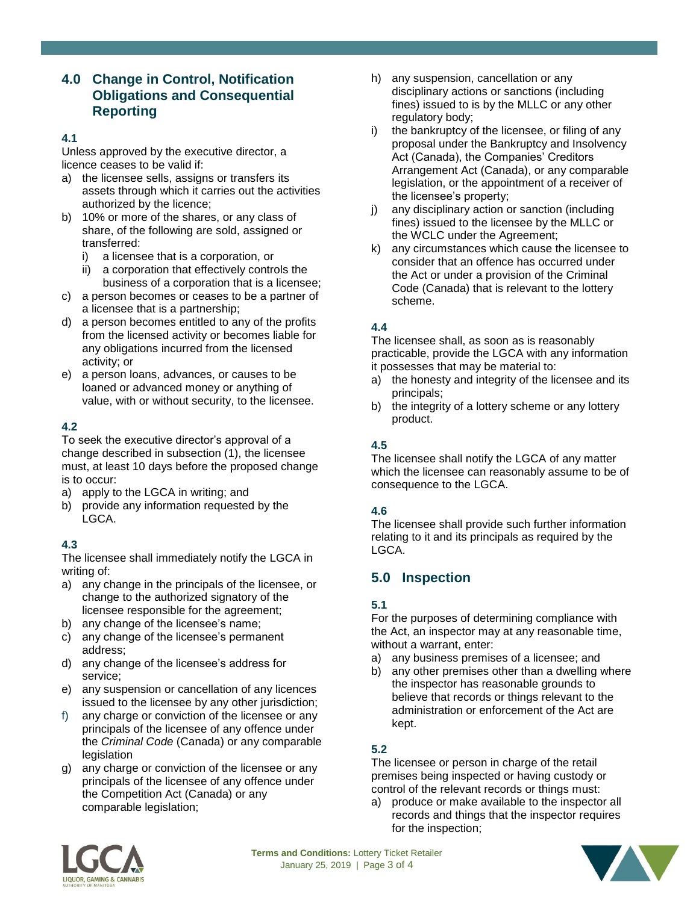# **4.0 Change in Control, Notification Obligations and Consequential Reporting**

#### **4.1**

Unless approved by the executive director, a licence ceases to be valid if:

- a) the licensee sells, assigns or transfers its assets through which it carries out the activities authorized by the licence;
- b) 10% or more of the shares, or any class of share, of the following are sold, assigned or transferred:
	- i) a licensee that is a corporation, or
	- ii) a corporation that effectively controls the business of a corporation that is a licensee;
- c) a person becomes or ceases to be a partner of a licensee that is a partnership;
- d) a person becomes entitled to any of the profits from the licensed activity or becomes liable for any obligations incurred from the licensed activity; or
- e) a person loans, advances, or causes to be loaned or advanced money or anything of value, with or without security, to the licensee.

#### **4.2**

To seek the executive director's approval of a change described in subsection (1), the licensee must, at least 10 days before the proposed change is to occur:

- a) apply to the LGCA in writing; and
- b) provide any information requested by the LGCA.

# **4.3**

The licensee shall immediately notify the LGCA in writing of:

- a) any change in the principals of the licensee, or change to the authorized signatory of the licensee responsible for the agreement;
- b) any change of the licensee's name;
- c) any change of the licensee's permanent address;
- d) any change of the licensee's address for service;
- e) any suspension or cancellation of any licences issued to the licensee by any other jurisdiction;
- f) any charge or conviction of the licensee or any principals of the licensee of any offence under the *Criminal Code* (Canada) or any comparable **legislation**
- g) any charge or conviction of the licensee or any principals of the licensee of any offence under the Competition Act (Canada) or any comparable legislation;
- h) any suspension, cancellation or any disciplinary actions or sanctions (including fines) issued to is by the MLLC or any other regulatory body;
- i) the bankruptcy of the licensee, or filing of any proposal under the Bankruptcy and Insolvency Act (Canada), the Companies' Creditors Arrangement Act (Canada), or any comparable legislation, or the appointment of a receiver of the licensee's property;
- j) any disciplinary action or sanction (including fines) issued to the licensee by the MLLC or the WCLC under the Agreement;
- k) any circumstances which cause the licensee to consider that an offence has occurred under the Act or under a provision of the Criminal Code (Canada) that is relevant to the lottery scheme.

# **4.4**

The licensee shall, as soon as is reasonably practicable, provide the LGCA with any information it possesses that may be material to:

- a) the honesty and integrity of the licensee and its principals;
- b) the integrity of a lottery scheme or any lottery product.

# **4.5**

The licensee shall notify the LGCA of any matter which the licensee can reasonably assume to be of consequence to the LGCA.

#### **4.6**

The licensee shall provide such further information relating to it and its principals as required by the LGCA.

# **5.0 Inspection**

# **5.1**

For the purposes of determining compliance with the Act, an inspector may at any reasonable time, without a warrant, enter:

- a) any business premises of a licensee; and
- b) any other premises other than a dwelling where the inspector has reasonable grounds to believe that records or things relevant to the administration or enforcement of the Act are kept.

# **5.2**

The licensee or person in charge of the retail premises being inspected or having custody or control of the relevant records or things must:

a) produce or make available to the inspector all records and things that the inspector requires for the inspection;



**Terms and Conditions:** Lottery Ticket Retailer January 25, 2019 | Page 3 of 4